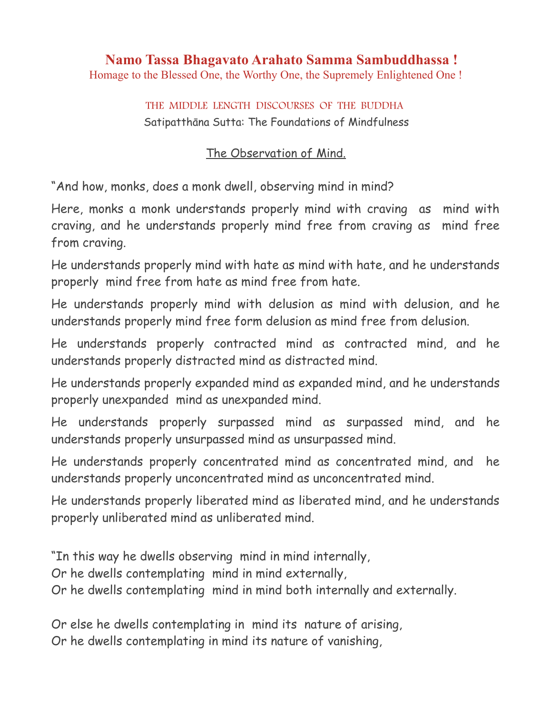# **Namo Tassa Bhagavato Arahato Samma Sambuddhassa !**

Homage to the Blessed One, the Worthy One, the Supremely Enlightened One !

## THE MIDDLE LENGTH DISCOURSES OF THE BUDDHA Satipatthāna Sutta: The Foundations of Mindfulness

### The Observation of Mind.

"And how, monks, does a monk dwell, observing mind in mind?

Here, monks a monk understands properly mind with craving as mind with craving, and he understands properly mind free from craving as mind free from craving.

He understands properly mind with hate as mind with hate, and he understands properly mind free from hate as mind free from hate.

He understands properly mind with delusion as mind with delusion, and he understands properly mind free form delusion as mind free from delusion.

He understands properly contracted mind as contracted mind, and he understands properly distracted mind as distracted mind.

He understands properly expanded mind as expanded mind, and he understands properly unexpanded mind as unexpanded mind.

He understands properly surpassed mind as surpassed mind, and he understands properly unsurpassed mind as unsurpassed mind.

He understands properly concentrated mind as concentrated mind, and he understands properly unconcentrated mind as unconcentrated mind.

He understands properly liberated mind as liberated mind, and he understands properly unliberated mind as unliberated mind.

"In this way he dwells observing mind in mind internally,

Or he dwells contemplating mind in mind externally,

Or he dwells contemplating mind in mind both internally and externally.

Or else he dwells contemplating in mind its nature of arising, Or he dwells contemplating in mind its nature of vanishing,